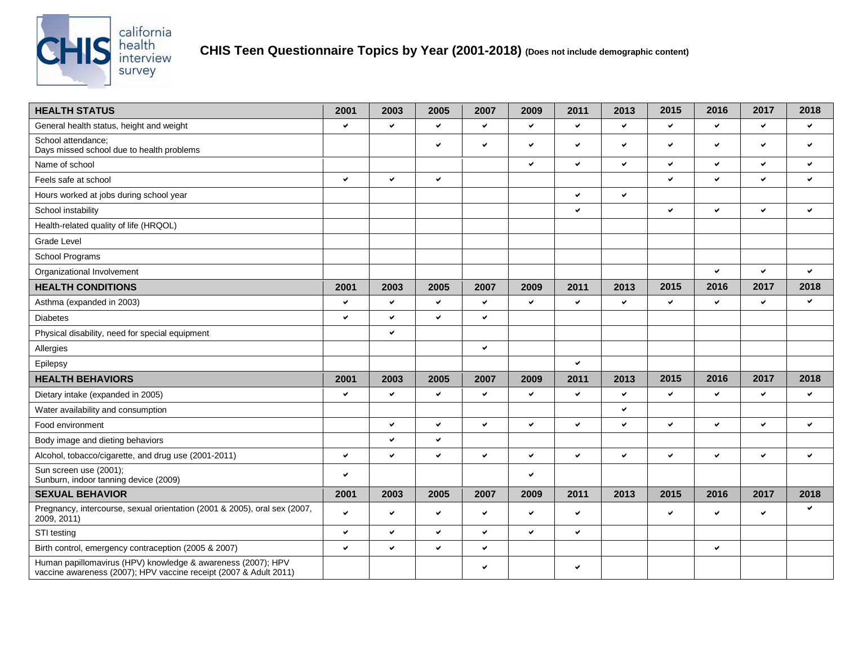

| <b>HEALTH STATUS</b>                                                                                                              | 2001         | 2003         | 2005         | 2007         | 2009         | 2011         | 2013         | 2015         | 2016         | 2017         | 2018         |
|-----------------------------------------------------------------------------------------------------------------------------------|--------------|--------------|--------------|--------------|--------------|--------------|--------------|--------------|--------------|--------------|--------------|
| General health status, height and weight                                                                                          | $\checkmark$ | $\checkmark$ | $\checkmark$ | $\checkmark$ | ✓            | $\checkmark$ | $\checkmark$ | V            | ✓            | $\checkmark$ | $\checkmark$ |
| School attendance:<br>Days missed school due to health problems                                                                   |              |              | $\checkmark$ | $\checkmark$ | ✓            | $\checkmark$ | $\checkmark$ | ✔            | $\checkmark$ | $\checkmark$ | $\checkmark$ |
| Name of school                                                                                                                    |              |              |              |              | $\checkmark$ | $\checkmark$ | $\checkmark$ | V            | ✓            | $\checkmark$ | $\checkmark$ |
| Feels safe at school                                                                                                              | ✓            | $\checkmark$ | $\checkmark$ |              |              |              |              | ✓            | ✔            | $\checkmark$ | $\checkmark$ |
| Hours worked at jobs during school year                                                                                           |              |              |              |              |              | $\checkmark$ | $\checkmark$ |              |              |              |              |
| School instability                                                                                                                |              |              |              |              |              | $\checkmark$ |              | V            | v            | $\checkmark$ | $\checkmark$ |
| Health-related quality of life (HRQOL)                                                                                            |              |              |              |              |              |              |              |              |              |              |              |
| <b>Grade Level</b>                                                                                                                |              |              |              |              |              |              |              |              |              |              |              |
| School Programs                                                                                                                   |              |              |              |              |              |              |              |              |              |              |              |
| Organizational Involvement                                                                                                        |              |              |              |              |              |              |              |              | $\checkmark$ | $\checkmark$ | $\checkmark$ |
| <b>HEALTH CONDITIONS</b>                                                                                                          | 2001         | 2003         | 2005         | 2007         | 2009         | 2011         | 2013         | 2015         | 2016         | 2017         | 2018         |
| Asthma (expanded in 2003)                                                                                                         | $\checkmark$ | $\checkmark$ | $\checkmark$ | $\checkmark$ | ✓            | $\checkmark$ | ✓            | ✔            | $\checkmark$ | $\checkmark$ | $\checkmark$ |
| <b>Diabetes</b>                                                                                                                   | $\checkmark$ | $\checkmark$ | $\checkmark$ | $\checkmark$ |              |              |              |              |              |              |              |
| Physical disability, need for special equipment                                                                                   |              | $\checkmark$ |              |              |              |              |              |              |              |              |              |
| Allergies                                                                                                                         |              |              |              | $\checkmark$ |              |              |              |              |              |              |              |
| Epilepsy                                                                                                                          |              |              |              |              |              | $\checkmark$ |              |              |              |              |              |
| <b>HEALTH BEHAVIORS</b>                                                                                                           | 2001         | 2003         | 2005         | 2007         | 2009         | 2011         | 2013         | 2015         | 2016         | 2017         | 2018         |
| Dietary intake (expanded in 2005)                                                                                                 | $\checkmark$ | $\checkmark$ | $\checkmark$ | $\checkmark$ | ✔            | $\checkmark$ | $\checkmark$ | $\checkmark$ | $\checkmark$ | $\checkmark$ | $\checkmark$ |
| Water availability and consumption                                                                                                |              |              |              |              |              |              | ✓            |              |              |              |              |
| Food environment                                                                                                                  |              | $\checkmark$ | $\checkmark$ | $\checkmark$ | ✓            | $\checkmark$ | ✓            | V            | $\checkmark$ | $\checkmark$ | $\checkmark$ |
| Body image and dieting behaviors                                                                                                  |              | $\checkmark$ | $\checkmark$ |              |              |              |              |              |              |              |              |
| Alcohol, tobacco/cigarette, and drug use (2001-2011)                                                                              | $\checkmark$ | $\checkmark$ | $\checkmark$ | $\checkmark$ | ✓            | $\checkmark$ | $\checkmark$ | ✓            | $\checkmark$ | $\checkmark$ | $\checkmark$ |
| Sun screen use (2001);<br>Sunburn, indoor tanning device (2009)                                                                   | $\checkmark$ |              |              |              | ✓            |              |              |              |              |              |              |
| <b>SEXUAL BEHAVIOR</b>                                                                                                            | 2001         | 2003         | 2005         | 2007         | 2009         | 2011         | 2013         | 2015         | 2016         | 2017         | 2018         |
| Pregnancy, intercourse, sexual orientation (2001 & 2005), oral sex (2007,<br>2009, 2011)                                          | ✓            | $\checkmark$ | $\checkmark$ | $\checkmark$ | ✔            | $\checkmark$ |              | ✓            | ✔            | $\checkmark$ | $\checkmark$ |
| STI testing                                                                                                                       | ✓            | ✓            | $\checkmark$ | $\checkmark$ | ✓            | $\checkmark$ |              |              |              |              |              |
| Birth control, emergency contraception (2005 & 2007)                                                                              | $\checkmark$ | $\checkmark$ | $\checkmark$ | $\checkmark$ |              |              |              |              | $\checkmark$ |              |              |
| Human papillomavirus (HPV) knowledge & awareness (2007); HPV<br>vaccine awareness (2007); HPV vaccine receipt (2007 & Adult 2011) |              |              |              | ✔            |              | $\checkmark$ |              |              |              |              |              |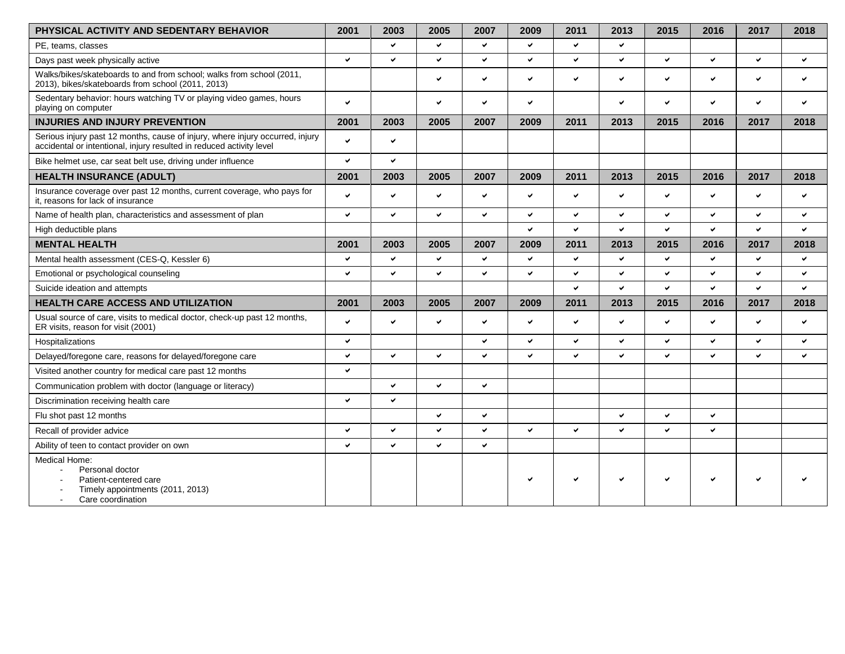| PHYSICAL ACTIVITY AND SEDENTARY BEHAVIOR                                                                                                              | 2001 | 2003         | 2005         | 2007         | 2009         | 2011         | 2013         | 2015         | 2016         | 2017         | 2018         |
|-------------------------------------------------------------------------------------------------------------------------------------------------------|------|--------------|--------------|--------------|--------------|--------------|--------------|--------------|--------------|--------------|--------------|
| PE, teams, classes                                                                                                                                    |      | ✓            | ✓            | $\checkmark$ | ✓            | v            | $\checkmark$ |              |              |              |              |
| Days past week physically active                                                                                                                      | ◡    | ✓            | $\checkmark$ | $\checkmark$ | $\checkmark$ | v            | ✓            | $\checkmark$ | ✓            | ✔            | $\checkmark$ |
| Walks/bikes/skateboards to and from school; walks from school (2011,<br>2013), bikes/skateboards from school (2011, 2013)                             |      |              | v            | $\checkmark$ | $\checkmark$ | $\checkmark$ | ✓            | ◡            | ✓            | ✓            | V            |
| Sedentary behavior: hours watching TV or playing video games, hours<br>playing on computer                                                            | ✓    |              | v            | $\checkmark$ | $\checkmark$ |              | $\checkmark$ | v            | ✓            | $\checkmark$ | ✓            |
| <b>INJURIES AND INJURY PREVENTION</b>                                                                                                                 | 2001 | 2003         | 2005         | 2007         | 2009         | 2011         | 2013         | 2015         | 2016         | 2017         | 2018         |
| Serious injury past 12 months, cause of injury, where injury occurred, injury<br>accidental or intentional, injury resulted in reduced activity level | ✓    | ✓            |              |              |              |              |              |              |              |              |              |
| Bike helmet use, car seat belt use, driving under influence                                                                                           | ◡    | $\checkmark$ |              |              |              |              |              |              |              |              |              |
| <b>HEALTH INSURANCE (ADULT)</b>                                                                                                                       | 2001 | 2003         | 2005         | 2007         | 2009         | 2011         | 2013         | 2015         | 2016         | 2017         | 2018         |
| Insurance coverage over past 12 months, current coverage, who pays for<br>it, reasons for lack of insurance                                           | ✓    | $\checkmark$ | ✔            | $\checkmark$ | $\checkmark$ | $\checkmark$ | $\checkmark$ | ✓            | ✔            | ✔            | $\checkmark$ |
| Name of health plan, characteristics and assessment of plan                                                                                           | ✓    | $\checkmark$ | ✓            | $\checkmark$ | $\checkmark$ | $\checkmark$ | $\checkmark$ | ✓            | ✓            | ✔            | $\checkmark$ |
| High deductible plans                                                                                                                                 |      |              |              |              | $\checkmark$ | $\checkmark$ | $\checkmark$ | U            | ✓            | v            | ◡            |
| <b>MENTAL HEALTH</b>                                                                                                                                  | 2001 | 2003         | 2005         | 2007         | 2009         | 2011         | 2013         | 2015         | 2016         | 2017         | 2018         |
| Mental health assessment (CES-Q, Kessler 6)                                                                                                           | ✓    | $\checkmark$ | ✓            | $\checkmark$ | $\checkmark$ | $\checkmark$ | $\checkmark$ | ✓            | ✓            | ✓            | $\checkmark$ |
| Emotional or psychological counseling                                                                                                                 | ✓    | ✓            | ✓            | $\checkmark$ | $\checkmark$ | $\checkmark$ | $\checkmark$ | ✓            | ✓            | ✓            | $\checkmark$ |
| Suicide ideation and attempts                                                                                                                         |      |              |              |              |              | $\checkmark$ | $\checkmark$ | $\checkmark$ | ✓            | v            | ◡            |
| <b>HEALTH CARE ACCESS AND UTILIZATION</b>                                                                                                             | 2001 | 2003         | 2005         | 2007         | 2009         | 2011         | 2013         | 2015         | 2016         | 2017         | 2018         |
| Usual source of care, visits to medical doctor, check-up past 12 months,<br>ER visits, reason for visit (2001)                                        |      | $\checkmark$ | $\checkmark$ | $\checkmark$ | ✓            | $\checkmark$ | $\checkmark$ | U            | ✓            | ✓            | $\checkmark$ |
| Hospitalizations                                                                                                                                      | ✓    |              |              | $\checkmark$ | $\checkmark$ | $\checkmark$ | $\checkmark$ | ◡            | ✓            | ✓            | $\checkmark$ |
| Delayed/foregone care, reasons for delayed/foregone care                                                                                              | ✓    | $\checkmark$ | ✓            | $\checkmark$ | $\checkmark$ | $\checkmark$ | ✓            | ✓            | ✓            | ✔            | ✓            |
| Visited another country for medical care past 12 months                                                                                               | ✓    |              |              |              |              |              |              |              |              |              |              |
| Communication problem with doctor (language or literacy)                                                                                              |      | ✓            | $\checkmark$ | $\checkmark$ |              |              |              |              |              |              |              |
| Discrimination receiving health care                                                                                                                  | ✓    | $\checkmark$ |              |              |              |              |              |              |              |              |              |
| Flu shot past 12 months                                                                                                                               |      |              | ✓            | $\checkmark$ |              |              | $\checkmark$ | u            | ✓            |              |              |
| Recall of provider advice                                                                                                                             | ✓    | ✓            | v            | $\checkmark$ | $\checkmark$ | $\checkmark$ | ✓            | ✓            | $\checkmark$ |              |              |
| Ability of teen to contact provider on own                                                                                                            | ✓    | $\checkmark$ | ✓            | $\checkmark$ |              |              |              |              |              |              |              |
| Medical Home:<br>Personal doctor<br>Patient-centered care<br>Timely appointments (2011, 2013)<br>Care coordination<br>$\mathbf{r}$                    |      |              |              |              |              |              | ✓            | ◡            | ◡            |              |              |